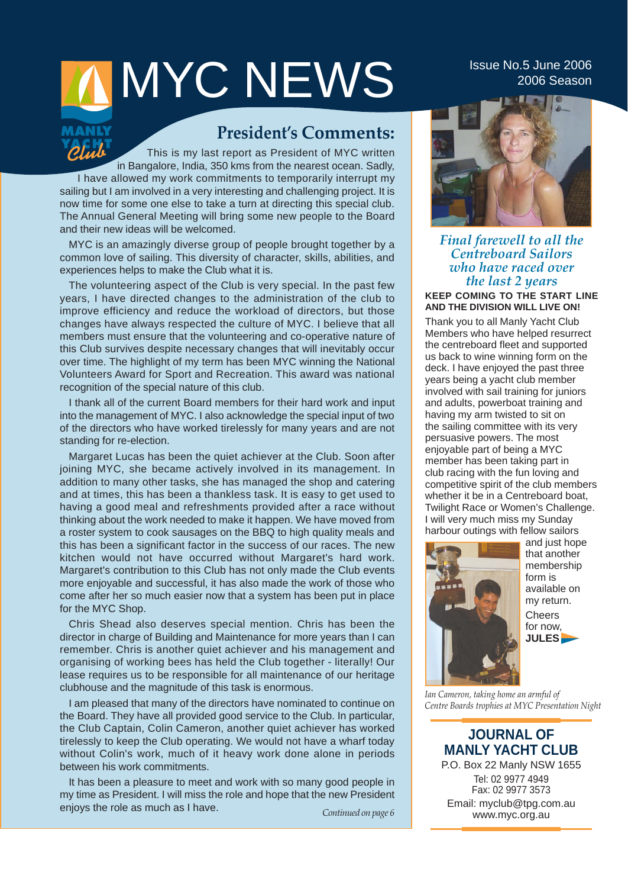# IMYCNEWS Issue No.5 June 2006

### **President's Comments:**

 $\partial f$ This is my last report as President of MYC written in Bangalore, India, 350 kms from the nearest ocean. Sadly, I have allowed my work commitments to temporarily interrupt my sailing but I am involved in a very interesting and challenging project. It is now time for some one else to take a turn at directing this special club. The Annual General Meeting will bring some new people to the Board and their new ideas will be welcomed.

MYC is an amazingly diverse group of people brought together by a common love of sailing. This diversity of character, skills, abilities, and experiences helps to make the Club what it is.

The volunteering aspect of the Club is very special. In the past few years, I have directed changes to the administration of the club to improve efficiency and reduce the workload of directors, but those changes have always respected the culture of MYC. I believe that all members must ensure that the volunteering and co-operative nature of this Club survives despite necessary changes that will inevitably occur over time. The highlight of my term has been MYC winning the National Volunteers Award for Sport and Recreation. This award was national recognition of the special nature of this club.

I thank all of the current Board members for their hard work and input into the management of MYC. I also acknowledge the special input of two of the directors who have worked tirelessly for many years and are not standing for re-election.

Margaret Lucas has been the quiet achiever at the Club. Soon after joining MYC, she became actively involved in its management. In addition to many other tasks, she has managed the shop and catering and at times, this has been a thankless task. It is easy to get used to having a good meal and refreshments provided after a race without thinking about the work needed to make it happen. We have moved from a roster system to cook sausages on the BBQ to high quality meals and this has been a significant factor in the success of our races. The new kitchen would not have occurred without Margaret's hard work. Margaret's contribution to this Club has not only made the Club events more enjoyable and successful, it has also made the work of those who come after her so much easier now that a system has been put in place for the MYC Shop.

Chris Shead also deserves special mention. Chris has been the director in charge of Building and Maintenance for more years than I can remember. Chris is another quiet achiever and his management and organising of working bees has held the Club together - literally! Our lease requires us to be responsible for all maintenance of our heritage clubhouse and the magnitude of this task is enormous.

I am pleased that many of the directors have nominated to continue on the Board. They have all provided good service to the Club. In particular, the Club Captain, Colin Cameron, another quiet achiever has worked tirelessly to keep the Club operating. We would not have a wharf today without Colin's work, much of it heavy work done alone in periods between his work commitments.

It has been a pleasure to meet and work with so many good people in my time as President. I will miss the role and hope that the new President enjoys the role as much as I have. *Continued on page 6*



*Final farewell to all the Centreboard Sailors who have raced over the last 2 years*  **KEEP COMING TO THE START LINE AND THE DIVISION WILL LIVE ON!**

Thank you to all Manly Yacht Club Members who have helped resurrect the centreboard fleet and supported us back to wine winning form on the deck. I have enjoyed the past three years being a yacht club member involved with sail training for juniors and adults, powerboat training and having my arm twisted to sit on the sailing committee with its very persuasive powers. The most enjoyable part of being a MYC member has been taking part in club racing with the fun loving and competitive spirit of the club members whether it be in a Centreboard boat, Twilight Race or Women's Challenge. I will very much miss my Sunday harbour outings with fellow sailors



and just hope that another membership form is available on my return. **Cheers** for now, **JULES**

*Ian Cameron, taking home an armful of Centre Boards trophies at MYC Presentation Night*

### **JOURNAL OF MANLY YACHT CLUB**

P.O. Box 22 Manly NSW 1655 Tel: 02 9977 4949 Fax: 02 9977 3573 Email: myclub@tpg.com.au www.myc.org.au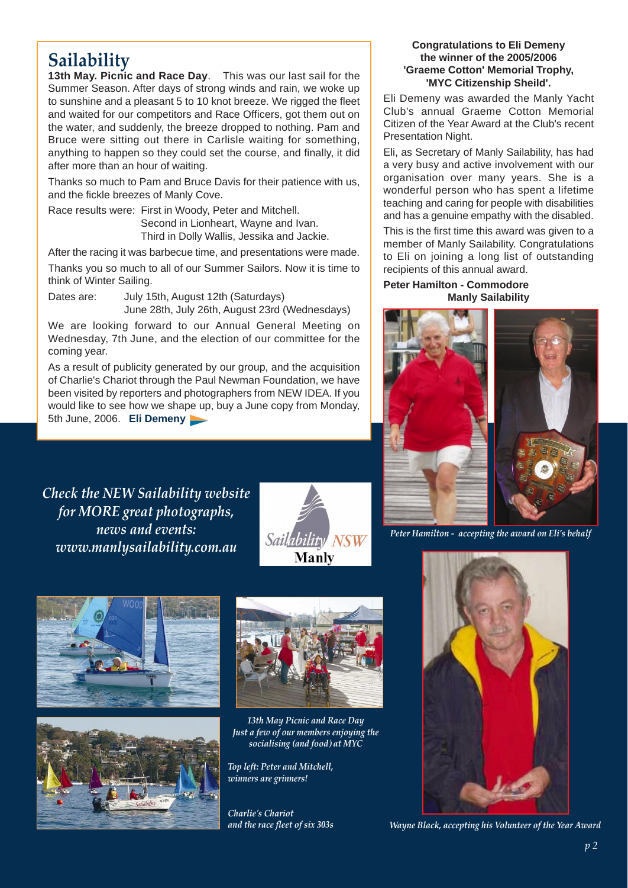### **Sailability**

**13th May. Picnic and Race Day**. This was our last sail for the Summer Season. After days of strong winds and rain, we woke up to sunshine and a pleasant 5 to 10 knot breeze. We rigged the fleet and waited for our competitors and Race Officers, got them out on the water, and suddenly, the breeze dropped to nothing. Pam and Bruce were sitting out there in Carlisle waiting for something, anything to happen so they could set the course, and finally, it did after more than an hour of waiting.

Thanks so much to Pam and Bruce Davis for their patience with us, and the fickle breezes of Manly Cove.

Race results were: First in Woody, Peter and Mitchell. Second in Lionheart, Wayne and Ivan. Third in Dolly Wallis, Jessika and Jackie.

After the racing it was barbecue time, and presentations were made.

Thanks you so much to all of our Summer Sailors. Now it is time to think of Winter Sailing.

Dates are: July 15th, August 12th (Saturdays) June 28th, July 26th, August 23rd (Wednesdays)

We are looking forward to our Annual General Meeting on Wednesday, 7th June, and the election of our committee for the coming year.

As a result of publicity generated by our group, and the acquisition of Charlie's Chariot through the Paul Newman Foundation, we have been visited by reporters and photographers from NEW IDEA. If you would like to see how we shape up, buy a June copy from Monday, 5th June, 2006. **Eli Demeny** 

*Check the NEW Sailability website for MORE great photographs, news and events: www.manlysailability.com.au* 









*13th May Picnic and Race Day Just a few of our members enjoying the socialising (and food) at MYC* 

*Top left: Peter and Mitchell, winners are grinners!*

*Charlie's Chariot and the race fleet of six 303s*

### **Congratulations to Eli Demeny the winner of the 2005/2006 'Graeme Cotton' Memorial Trophy, 'MYC Citizenship Sheild'.**

Eli Demeny was awarded the Manly Yacht Club's annual Graeme Cotton Memorial Citizen of the Year Award at the Club's recent Presentation Night.

Eli, as Secretary of Manly Sailability, has had a very busy and active involvement with our organisation over many years. She is a wonderful person who has spent a lifetime teaching and caring for people with disabilities and has a genuine empathy with the disabled.

This is the first time this award was given to a member of Manly Sailability. Congratulations to Eli on joining a long list of outstanding recipients of this annual award.

### **Peter Hamilton - Commodore Manly Sailability**



*Peter Hamilton - accepting the award on Eli's behalf*



*Wayne Black, accepting his Volunteer of the Year Award*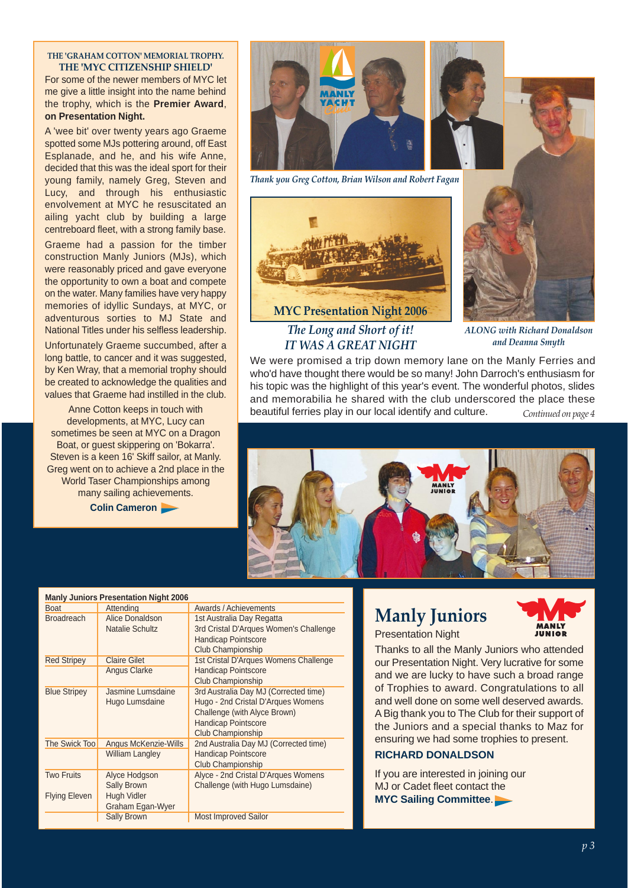### **THE 'GRAHAM COTTON' MEMORIAL TROPHY. THE 'MYC CITIZENSHIP SHIELD'**

For some of the newer members of MYC let me give a little insight into the name behind the trophy, which is the **Premier Award**, **on Presentation Night.**

A 'wee bit' over twenty years ago Graeme spotted some MJs pottering around, off East Esplanade, and he, and his wife Anne, decided that this was the ideal sport for their young family, namely Greg, Steven and Lucy, and through his enthusiastic envolvement at MYC he resuscitated an ailing yacht club by building a large centreboard fleet, with a strong family base.

Graeme had a passion for the timber construction Manly Juniors (MJs), which were reasonably priced and gave everyone the opportunity to own a boat and compete on the water. Many families have very happy memories of idyllic Sundays, at MYC, or adventurous sorties to MJ State and National Titles under his selfless leadership.

Unfortunately Graeme succumbed, after a long battle, to cancer and it was suggested, by Ken Wray, that a memorial trophy should be created to acknowledge the qualities and values that Graeme had instilled in the club.

Anne Cotton keeps in touch with developments, at MYC, Lucy can sometimes be seen at MYC on a Dragon Boat, or guest skippering on 'Bokarra'. Steven is a keen 16' Skiff sailor, at Manly. Greg went on to achieve a 2nd place in the World Taser Championships among many sailing achievements.

**Colin Cameron** 



*Thank you Greg Cotton, Brian Wilson and Robert Fagan*





*ALONG with Richard Donaldson and Deanna Smyth*

*Continued on page 4* We were promised a trip down memory lane on the Manly Ferries and who'd have thought there would be so many! John Darroch's enthusiasm for his topic was the highlight of this year's event. The wonderful photos, slides and memorabilia he shared with the club underscored the place these beautiful ferries play in our local identify and culture.



| <b>Manly Juniors Presentation Night 2006</b> |                                                                        |                                                                                                                                                                       |  |  |  |  |  |
|----------------------------------------------|------------------------------------------------------------------------|-----------------------------------------------------------------------------------------------------------------------------------------------------------------------|--|--|--|--|--|
| <b>Boat</b>                                  | Attending                                                              | Awards / Achievements                                                                                                                                                 |  |  |  |  |  |
| <b>Broadreach</b>                            | Alice Donaldson<br><b>Natalie Schultz</b>                              | 1st Australia Day Regatta<br>3rd Cristal D'Arques Women's Challenge<br><b>Handicap Pointscore</b><br>Club Championship                                                |  |  |  |  |  |
| <b>Red Stripey</b>                           | <b>Claire Gilet</b>                                                    | 1st Cristal D'Arques Womens Challenge                                                                                                                                 |  |  |  |  |  |
|                                              | Angus Clarke                                                           | <b>Handicap Pointscore</b><br>Club Championship                                                                                                                       |  |  |  |  |  |
| <b>Blue Stripey</b>                          | Jasmine Lumsdaine<br>Hugo Lumsdaine                                    | 3rd Australia Day MJ (Corrected time)<br>Hugo - 2nd Cristal D'Arques Womens<br>Challenge (with Alyce Brown)<br><b>Handicap Pointscore</b><br><b>Club Championship</b> |  |  |  |  |  |
| The Swick Too                                | Angus McKenzie-Wills<br><b>William Langley</b>                         | 2nd Australia Day MJ (Corrected time)<br><b>Handicap Pointscore</b><br><b>Club Championship</b>                                                                       |  |  |  |  |  |
| <b>Two Fruits</b><br><b>Flying Eleven</b>    | Alyce Hodgson<br><b>Sally Brown</b><br>Hugh Vidler<br>Graham Egan-Wyer | Alyce - 2nd Cristal D'Arques Womens<br>Challenge (with Hugo Lumsdaine)                                                                                                |  |  |  |  |  |
|                                              | <b>Sally Brown</b>                                                     | <b>Most Improved Sailor</b>                                                                                                                                           |  |  |  |  |  |

### **Manly Juniors**



Presentation Night

Thanks to all the Manly Juniors who attended our Presentation Night. Very lucrative for some and we are lucky to have such a broad range of Trophies to award. Congratulations to all and well done on some well deserved awards. A Big thank you to The Club for their support of the Juniors and a special thanks to Maz for ensuring we had some trophies to present.

### **RICHARD DONALDSON**

If you are interested in joining our MJ or Cadet fleet contact the **MYC Sailing Committee**.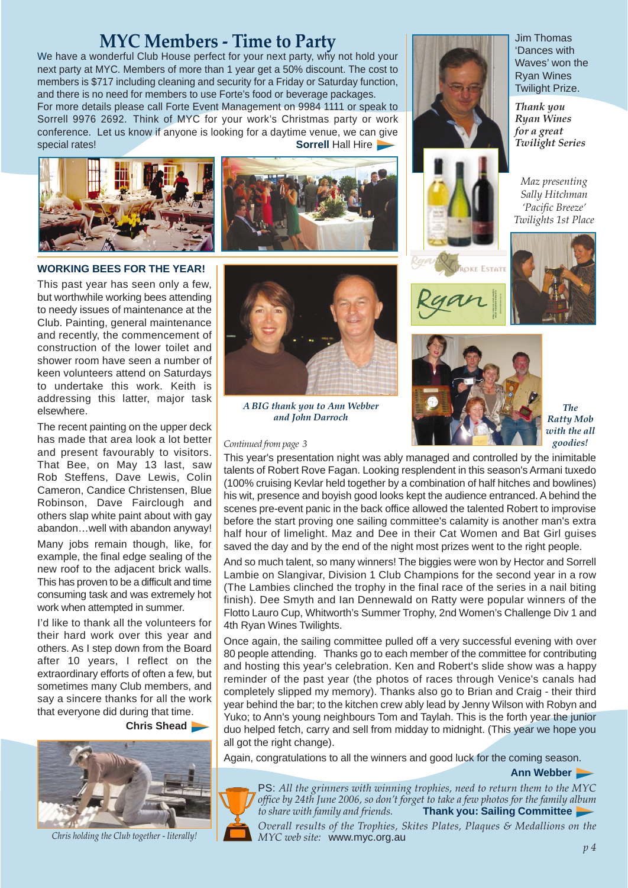## **MYC Members - Time to Party** We have a wonderful Club House perfect for your next party, why not hold your

next party at MYC. Members of more than 1 year get a 50% discount. The cost to members is \$717 including cleaning and security for a Friday or Saturday function, and there is no need for members to use Forte's food or beverage packages. For more details please call Forte Event Management on 9984 1111 or speak to Sorrell 9976 2692. Think of MYC for your work's Christmas party or work conference. Let us know if anyone is looking for a daytime venue, we can give **Solution Sofrell Hall Hire Sofrell Hall Hire** 





### **WORKING BEES FOR THE YEAR!**

This past year has seen only a few, but worthwhile working bees attending to needy issues of maintenance at the Club. Painting, general maintenance and recently, the commencement of construction of the lower toilet and shower room have seen a number of keen volunteers attend on Saturdays to undertake this work. Keith is addressing this latter, major task elsewhere.

The recent painting on the upper deck has made that area look a lot better and present favourably to visitors. That Bee, on May 13 last, saw Rob Steffens, Dave Lewis, Colin Cameron, Candice Christensen, Blue Robinson, Dave Fairclough and others slap white paint about with gay abandon…well with abandon anyway!

Many jobs remain though, like, for example, the final edge sealing of the new roof to the adjacent brick walls. This has proven to be a difficult and time consuming task and was extremely hot work when attempted in summer.

I'd like to thank all the volunteers for their hard work over this year and others. As I step down from the Board after 10 years, I reflect on the extraordinary efforts of often a few, but sometimes many Club members, and say a sincere thanks for all the work that everyone did during that time.

**Chris Shead** 



*Chris holding the Club together - literally!*



*A BIG thank you to Ann Webber and John Darroch*

#### *Continued from page 3*



Jim Thomas 'Dances with Waves' won the Ryan Wines Twilight Prize.

*Thank you Ryan Wines for a great Twilight Series*

*Maz presenting Sally Hitchman 'Pacific Breeze' Twilights 1st Place*









*The Ratty Mob with the all goodies!*

This year's presentation night was ably managed and controlled by the inimitable talents of Robert Rove Fagan. Looking resplendent in this season's Armani tuxedo (100% cruising Kevlar held together by a combination of half hitches and bowlines) his wit, presence and boyish good looks kept the audience entranced. A behind the scenes pre-event panic in the back office allowed the talented Robert to improvise before the start proving one sailing committee's calamity is another man's extra half hour of limelight. Maz and Dee in their Cat Women and Bat Girl guises saved the day and by the end of the night most prizes went to the right people.

And so much talent, so many winners! The biggies were won by Hector and Sorrell Lambie on Slangivar, Division 1 Club Champions for the second year in a row (The Lambies clinched the trophy in the final race of the series in a nail biting finish). Dee Smyth and Ian Dennewald on Ratty were popular winners of the Flotto Lauro Cup, Whitworth's Summer Trophy, 2nd Women's Challenge Div 1 and 4th Ryan Wines Twilights.

Once again, the sailing committee pulled off a very successful evening with over 80 people attending. Thanks go to each member of the committee for contributing and hosting this year's celebration. Ken and Robert's slide show was a happy reminder of the past year (the photos of races through Venice's canals had completely slipped my memory). Thanks also go to Brian and Craig - their third year behind the bar; to the kitchen crew ably lead by Jenny Wilson with Robyn and Yuko; to Ann's young neighbours Tom and Taylah. This is the forth year the junior duo helped fetch, carry and sell from midday to midnight. (This year we hope you all got the right change).

Again, congratulations to all the winners and good luck for the coming season.

**Ann Webber** 



PS: *All the grinners with winning trophies, need to return them to the MYC office by 24th June 2006, so don't forget to take a few photos for the family album to share with family and friends.* **Thank you: Sailing Committee** *Overall results of the Trophies, Skites Plates, Plaques & Medallions on the MYC web site:* www.myc.org.au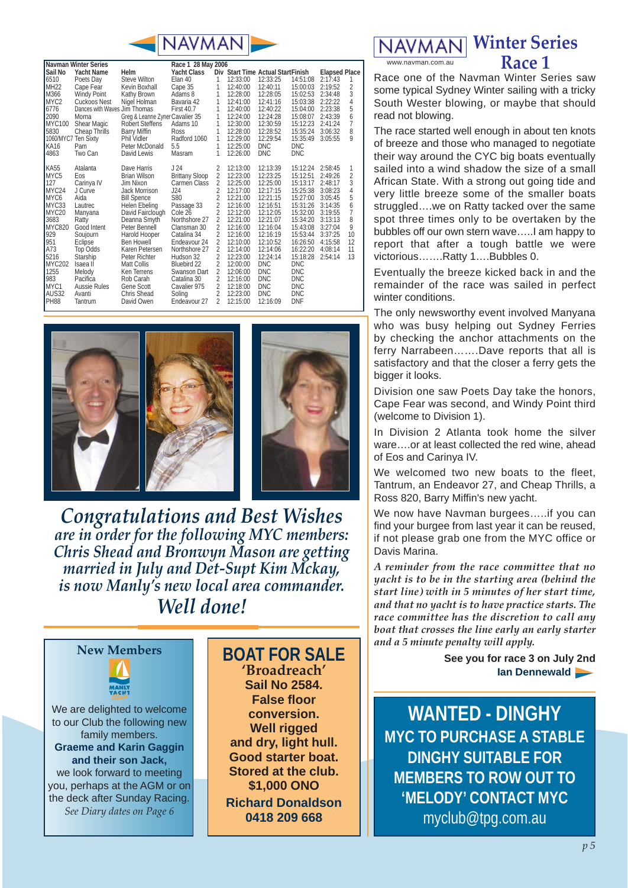

| <b>Navman Winter Series</b> |                              |                                 | Race 1 28 May 2006    |                |          |                                    |            |                      |    |
|-----------------------------|------------------------------|---------------------------------|-----------------------|----------------|----------|------------------------------------|------------|----------------------|----|
| Sail No                     | <b>Yacht Name</b>            | Helm                            | <b>Yacht Class</b>    |                |          | Div Start Time Actual Start Finish |            | <b>Elapsed Place</b> |    |
| 6510                        | Poets Day                    | Steve Wilton                    | Elan 40               | 1              | 12:33:00 | 12:33:25                           | 14:51:08   | 2:17:43              | 1  |
| <b>MH22</b>                 | Cape Fear                    | Kevin Boxhall                   | Cape 35               | 1              | 12:40:00 | 12:40:11                           | 15:00:03   | 2:19:52              | 2  |
| M366                        | Windy Point                  | Kathy Brown                     | Adams 8               | 1              | 12:28:00 | 12:28:05                           | 15:02:53   | 2:34:48              | 3  |
| MYC <sub>2</sub>            | Cuckoos Nest                 | Nigel Holman                    | Bavaria 42            | 1              | 12:41:00 | 12:41:16                           | 15:03:38   | 2:22:22              | 4  |
| 6776                        | Dances with Waves Jim Thomas |                                 | <b>First 40.7</b>     | 1              | 12:40:00 | 12:40:22                           | 15:04:00   | 2:23:38              | 5  |
| 2090                        | Morna                        | Greg & Leanne Zyner Cavalier 35 |                       | 1              | 12:24:00 | 12:24:28                           | 15:08:07   | 2:43:39              | 6  |
| <b>MYC100</b>               | Shear Magic                  | <b>Robert Steffens</b>          | Adams 10              | 1              | 12:30:00 | 12:30:59                           | 15:12:23   | 2:41:24              | 7  |
| 5830                        | Cheap Thrills                | <b>Barry Miffin</b>             | Ross                  | 1              | 12:28:00 | 12:28:52                           | 15:35:24   | 3:06:32              | 8  |
|                             | 1060/MYC7 Ten Sixty          | Phil Vidler                     | Radford 1060          | 1              | 12:29:00 | 12:29:54                           | 15:35:49   | 3:05:55              | 9  |
| <b>KA16</b>                 | Pam                          | Peter McDonald                  | 5.5                   | 1              | 12:25:00 | <b>DNC</b>                         | <b>DNC</b> |                      |    |
| 4863                        | Two Can                      | David Lewis                     | Masram                | 1              | 12:26:00 | <b>DNC</b>                         | <b>DNC</b> |                      |    |
| <b>KA55</b>                 | Atalanta                     | Dave Harris                     | J 24                  | 2              | 12:13:00 | 12:13:39                           | 15:12:24   | 2:58:45              | 1  |
| MYC <sub>5</sub>            | Eos                          | <b>Brian Wilson</b>             | <b>Brittany Sloop</b> | $\overline{2}$ | 12:23:00 | 12:23:25                           | 15:12:51   | 2:49:26              | 2  |
| 127                         | Carinya IV                   | Jim Nixon                       | Carmen Class          | $\overline{2}$ | 12:25:00 | 12:25:00                           | 15:13:17   | 2:48:17              | 3  |
| MYC24                       | J Curve                      | Jack Morrison                   | J24                   | $\overline{2}$ | 12:17:00 | 12:17:15                           | 15:25:38   | 3:08:23              | 4  |
| MYC6                        | Aida                         | <b>Bill Spence</b>              | S80                   | 2              | 12:21:00 | 12:21:15                           | 15:27:00   | 3:05:45              | 5  |
| MYC33                       | Lautrec                      | Helen Ebeling                   | Passage 33            | $\overline{2}$ | 12:16:00 | 12:16:51                           | 15:31:26   | 3:14:35              | 6  |
| MYC <sub>20</sub>           | Manyana                      | David Fairclough                | Cole 26               | $\overline{2}$ | 12:12:00 | 12:12:05                           | 15:32:00   | 3:19:55              | 7  |
| 3683                        | Ratty                        | Deanna Smyth                    | Northshore 27         | 2              | 12:21:00 | 12:21:07                           | 15:34:20   | 3:13:13              | 8  |
| MYC820                      | Good Intent                  | Peter Bennell                   | Clansman 30           | $\overline{2}$ | 12:16:00 | 12:16:04                           | 15:43:08   | 3:27:04              | 9  |
| 929                         | Soujourn                     | Harold Hooper                   | Catalina 34           | $\overline{2}$ | 12:16:00 | 12:16:19                           | 15:53:44   | 3:37:25              | 10 |
| 951                         | Eclipse                      | <b>Ben Howell</b>               | Endeavour 24          | $\overline{2}$ | 12:10:00 | 12:10:52                           | 16:26:50   | 4:15:58              | 12 |
| A73                         | <b>Top Odds</b>              | Karen Petersen                  | Northshore 27         | 2              | 12:14:00 | 12:14:06                           | 16:22:20   | 4:08:14              | 11 |
| 5216                        | Starship                     | Peter Richter                   | Hudson 32             | $\overline{2}$ | 12:23:00 | 12:24:14                           | 15:18:28   | 2:54:14              | 13 |
| <b>MYC202</b>               | Isaea II                     | <b>Matt Collis</b>              | Bluebird 22           | $\overline{2}$ | 12:00:00 | <b>DNC</b>                         | <b>DNC</b> |                      |    |
| 1255                        | Melody                       | Ken Terrens                     | Swanson Dart          | $\overline{2}$ | 12:06:00 | <b>DNC</b>                         | <b>DNC</b> |                      |    |
| 983                         | Pacifica                     | Rob Carah                       | Catalina 30           | 2              | 12:16:00 | <b>DNC</b>                         | <b>DNC</b> |                      |    |
| MYC <sub>1</sub>            | Aussie Rules                 | Gene Scott                      | Cavalier 975          | 2              | 12:18:00 | <b>DNC</b>                         | <b>DNC</b> |                      |    |
| AUS32                       | Avanti                       | <b>Chris Shead</b>              | Soling                | 2              | 12:23:00 | <b>DNC</b>                         | <b>DNC</b> |                      |    |
| <b>PH88</b>                 | Tantrum                      | David Owen                      | Endeavour 27          | $\overline{2}$ | 12:15:00 | 12:16:09                           | <b>DNF</b> |                      |    |
|                             |                              |                                 |                       |                |          |                                    |            |                      |    |



*Congratulations and Best Wishes are in order for the following MYC members: Chris Shead and Bronwyn Mason are getting married in July and Det-Supt Kim Mckay, is now Manly's new local area commander. Well done!*



We are delighted to welcome to our Club the following new family members. **Graeme and Karin Gaggin and their son Jack,** we look forward to meeting you, perhaps at the AGM or on the deck after Sunday Racing. *See Diary dates on Page 6*

**BOAT FOR SALE 'Broadreach' Sail No 2584. False floor conversion. Well rigged and dry, light hull. Good starter boat. Stored at the club. \$1,000 ONO Richard Donaldson 0418 209 668**

**Winter Series Race 1**

www.navman.com.au

Race one of the Navman Winter Series saw some typical Sydney Winter sailing with a tricky South Wester blowing, or maybe that should read not blowing.

The race started well enough in about ten knots of breeze and those who managed to negotiate their way around the CYC big boats eventually sailed into a wind shadow the size of a small African State. With a strong out going tide and very little breeze some of the smaller boats struggled….we on Ratty tacked over the same spot three times only to be overtaken by the bubbles off our own stern wave…..I am happy to report that after a tough battle we were victorious…….Ratty 1….Bubbles 0.

Eventually the breeze kicked back in and the remainder of the race was sailed in perfect winter conditions.

The only newsworthy event involved Manyana who was busy helping out Sydney Ferries by checking the anchor attachments on the ferry Narrabeen…….Dave reports that all is satisfactory and that the closer a ferry gets the bigger it looks.

Division one saw Poets Day take the honors, Cape Fear was second, and Windy Point third (welcome to Division 1).

In Division 2 Atlanta took home the silver ware….or at least collected the red wine, ahead of Eos and Carinya IV.

We welcomed two new boats to the fleet, Tantrum, an Endeavor 27, and Cheap Thrills, a Ross 820, Barry Miffin's new yacht.

We now have Navman burgees…..if you can find your burgee from last year it can be reused, if not please grab one from the MYC office or Davis Marina.

*A reminder from the race committee that no yacht is to be in the starting area (behind the start line) with in 5 minutes of her start time, and that no yacht is to have practice starts. The race committee has the discretion to call any boat that crosses the line early an early starter and a 5 minute penalty will apply.*

> **See you for race 3 on July 2nd Ian Dennewald**

**WANTED - DINGHY MYC TO PURCHASE A STABLE DINGHY SUITABLE FOR MEMBERS TO ROW OUT TO 'MELODY' CONTACT MYC** myclub@tpg.com.au